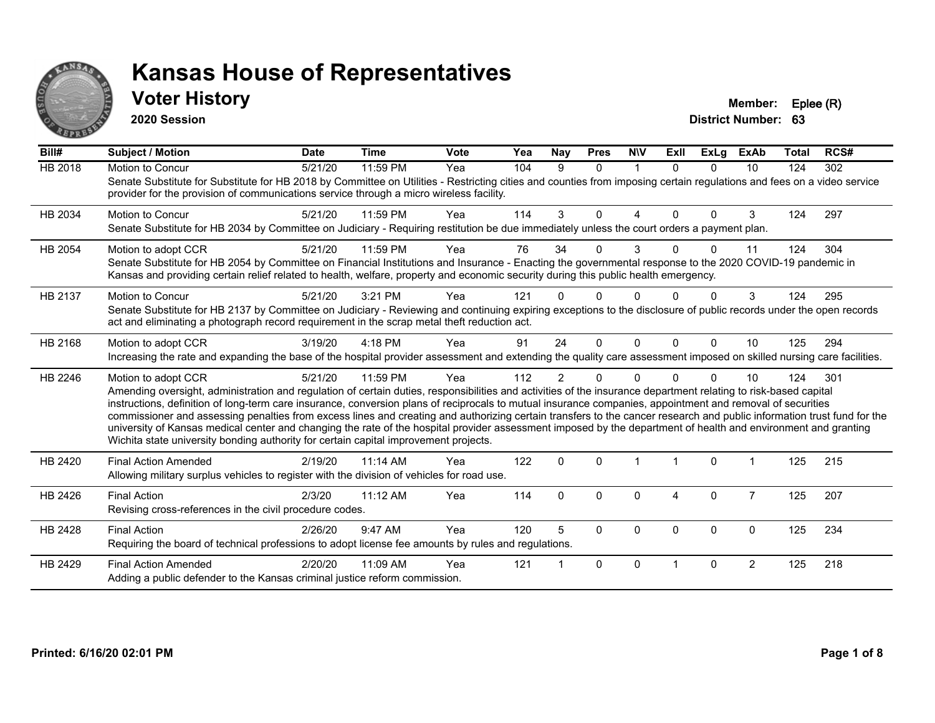

## **Voter History Member: Eplee (R)**

**2020 Session**

| Bill#          | <b>Subject / Motion</b>                                                                                                                                                                                                                                                                                                                                                                                                                                                                                                                                                                                                                                                                                                                                                                  | <b>Date</b> | <b>Time</b> | Vote | Yea | Nay            | <b>Pres</b>  | <b>NIV</b>   | ExII           | <b>ExLg</b>  | <b>ExAb</b>    | Total | RCS# |
|----------------|------------------------------------------------------------------------------------------------------------------------------------------------------------------------------------------------------------------------------------------------------------------------------------------------------------------------------------------------------------------------------------------------------------------------------------------------------------------------------------------------------------------------------------------------------------------------------------------------------------------------------------------------------------------------------------------------------------------------------------------------------------------------------------------|-------------|-------------|------|-----|----------------|--------------|--------------|----------------|--------------|----------------|-------|------|
| <b>HB 2018</b> | Motion to Concur<br>Senate Substitute for Substitute for HB 2018 by Committee on Utilities - Restricting cities and counties from imposing certain regulations and fees on a video service<br>provider for the provision of communications service through a micro wireless facility.                                                                                                                                                                                                                                                                                                                                                                                                                                                                                                    | 5/21/20     | 11:59 PM    | Yea  | 104 | 9              | $\Omega$     | $\mathbf{1}$ | $\Omega$       | $\Omega$     | 10             | 124   | 302  |
| HB 2034        | <b>Motion to Concur</b><br>Senate Substitute for HB 2034 by Committee on Judiciary - Requiring restitution be due immediately unless the court orders a payment plan.                                                                                                                                                                                                                                                                                                                                                                                                                                                                                                                                                                                                                    | 5/21/20     | 11:59 PM    | Yea  | 114 | 3              | $\Omega$     | 4            | $\Omega$       | $\Omega$     | 3              | 124   | 297  |
| HB 2054        | Motion to adopt CCR<br>Senate Substitute for HB 2054 by Committee on Financial Institutions and Insurance - Enacting the governmental response to the 2020 COVID-19 pandemic in<br>Kansas and providing certain relief related to health, welfare, property and economic security during this public health emergency.                                                                                                                                                                                                                                                                                                                                                                                                                                                                   | 5/21/20     | 11:59 PM    | Yea  | 76  | 34             | 0            | 3            | <sup>n</sup>   | $\Omega$     | 11             | 124   | 304  |
| HB 2137        | Motion to Concur<br>Senate Substitute for HB 2137 by Committee on Judiciary - Reviewing and continuing expiring exceptions to the disclosure of public records under the open records<br>act and eliminating a photograph record requirement in the scrap metal theft reduction act.                                                                                                                                                                                                                                                                                                                                                                                                                                                                                                     | 5/21/20     | 3:21 PM     | Yea  | 121 |                | 0            | <sup>0</sup> |                |              | 3              | 124   | 295  |
| HB 2168        | Motion to adopt CCR<br>Increasing the rate and expanding the base of the hospital provider assessment and extending the quality care assessment imposed on skilled nursing care facilities.                                                                                                                                                                                                                                                                                                                                                                                                                                                                                                                                                                                              | 3/19/20     | 4:18 PM     | Yea  | 91  | 24             | $\Omega$     | $\Omega$     | $\Omega$       | $\Omega$     | 10             | 125   | 294  |
| HB 2246        | Motion to adopt CCR<br>Amending oversight, administration and regulation of certain duties, responsibilities and activities of the insurance department relating to risk-based capital<br>instructions, definition of long-term care insurance, conversion plans of reciprocals to mutual insurance companies, appointment and removal of securities<br>commissioner and assessing penalties from excess lines and creating and authorizing certain transfers to the cancer research and public information trust fund for the<br>university of Kansas medical center and changing the rate of the hospital provider assessment imposed by the department of health and environment and granting<br>Wichita state university bonding authority for certain capital improvement projects. | 5/21/20     | 11:59 PM    | Yea  | 112 | $\overline{2}$ | $\Omega$     | 0            |                | $\Omega$     | 10             | 124   | 301  |
| HB 2420        | <b>Final Action Amended</b><br>Allowing military surplus vehicles to register with the division of vehicles for road use.                                                                                                                                                                                                                                                                                                                                                                                                                                                                                                                                                                                                                                                                | 2/19/20     | 11:14 AM    | Yea  | 122 | $\mathbf{0}$   | $\Omega$     |              | $\overline{1}$ | $\mathbf{0}$ | $\overline{1}$ | 125   | 215  |
| HB 2426        | <b>Final Action</b><br>Revising cross-references in the civil procedure codes.                                                                                                                                                                                                                                                                                                                                                                                                                                                                                                                                                                                                                                                                                                           | 2/3/20      | 11:12 AM    | Yea  | 114 | $\mathbf{0}$   | $\Omega$     | 0            | 4              | $\Omega$     | $\overline{7}$ | 125   | 207  |
| HB 2428        | <b>Final Action</b><br>Requiring the board of technical professions to adopt license fee amounts by rules and regulations.                                                                                                                                                                                                                                                                                                                                                                                                                                                                                                                                                                                                                                                               | 2/26/20     | 9:47 AM     | Yea  | 120 | 5              | $\Omega$     | 0            | $\Omega$       | $\Omega$     | $\mathbf{0}$   | 125   | 234  |
| HB 2429        | <b>Final Action Amended</b><br>Adding a public defender to the Kansas criminal justice reform commission.                                                                                                                                                                                                                                                                                                                                                                                                                                                                                                                                                                                                                                                                                | 2/20/20     | 11:09 AM    | Yea  | 121 |                | $\mathbf{0}$ | $\Omega$     |                | $\Omega$     | $\overline{2}$ | 125   | 218  |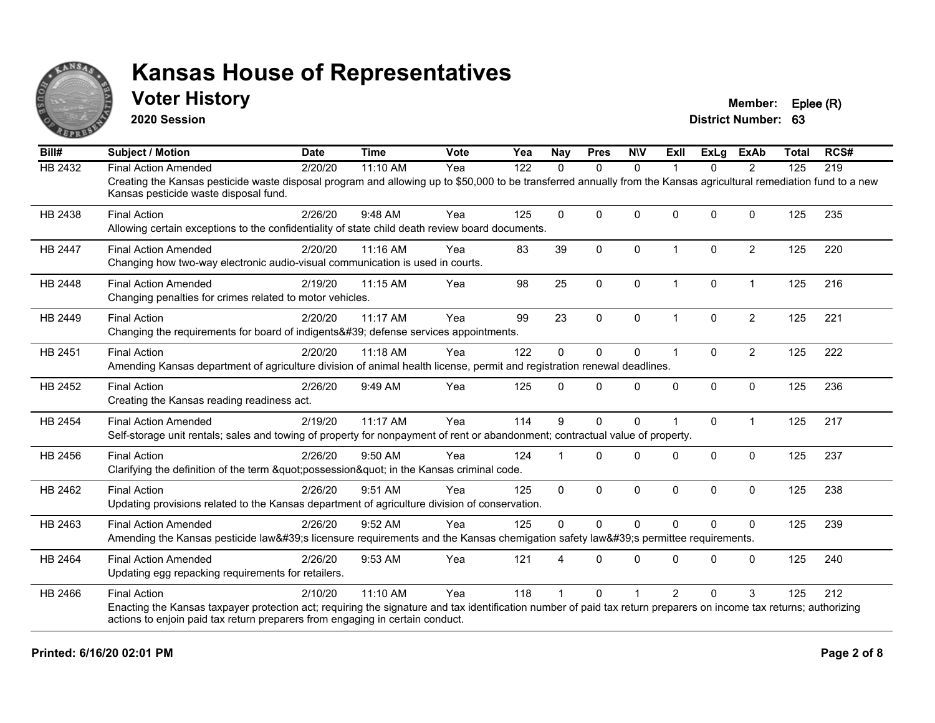

## **Voter History Member: Eplee (R)**

**2020 Session**

| Bill#          | <b>Subject / Motion</b>                                                                                                                                                                                     | <b>Date</b> | <b>Time</b> | Vote | Yea | <b>Nay</b>  | <b>Pres</b>  | <b>NIV</b>   | ExII                    | ExLa     | <b>ExAb</b>    | <b>Total</b> | RCS# |
|----------------|-------------------------------------------------------------------------------------------------------------------------------------------------------------------------------------------------------------|-------------|-------------|------|-----|-------------|--------------|--------------|-------------------------|----------|----------------|--------------|------|
| HB 2432        | <b>Final Action Amended</b>                                                                                                                                                                                 | 2/20/20     | 11:10 AM    | Yea  | 122 | $\Omega$    | $\mathbf{0}$ | $\mathbf{0}$ |                         | $\Omega$ | $\overline{2}$ | 125          | 219  |
|                | Creating the Kansas pesticide waste disposal program and allowing up to \$50,000 to be transferred annually from the Kansas agricultural remediation fund to a new<br>Kansas pesticide waste disposal fund. |             |             |      |     |             |              |              |                         |          |                |              |      |
| HB 2438        | <b>Final Action</b>                                                                                                                                                                                         | 2/26/20     | 9:48 AM     | Yea  | 125 | $\mathbf 0$ | $\Omega$     | $\mathbf{0}$ | $\Omega$                | $\Omega$ | $\Omega$       | 125          | 235  |
|                | Allowing certain exceptions to the confidentiality of state child death review board documents.                                                                                                             |             |             |      |     |             |              |              |                         |          |                |              |      |
| <b>HB 2447</b> | <b>Final Action Amended</b>                                                                                                                                                                                 | 2/20/20     | 11:16 AM    | Yea  | 83  | 39          | $\mathbf{0}$ | $\Omega$     | $\overline{\mathbf{1}}$ | $\Omega$ | $\overline{2}$ | 125          | 220  |
|                | Changing how two-way electronic audio-visual communication is used in courts.                                                                                                                               |             |             |      |     |             |              |              |                         |          |                |              |      |
| <b>HB 2448</b> | <b>Final Action Amended</b>                                                                                                                                                                                 | 2/19/20     | 11:15 AM    | Yea  | 98  | 25          | $\mathbf 0$  | 0            | $\overline{1}$          | 0        | $\overline{1}$ | 125          | 216  |
|                | Changing penalties for crimes related to motor vehicles.                                                                                                                                                    |             |             |      |     |             |              |              |                         |          |                |              |      |
| HB 2449        | <b>Final Action</b>                                                                                                                                                                                         | 2/20/20     | 11:17 AM    | Yea  | 99  | 23          | $\mathbf 0$  | 0            | -1                      | $\Omega$ | $\overline{2}$ | 125          | 221  |
|                | Changing the requirements for board of indigents' defense services appointments.                                                                                                                            |             |             |      |     |             |              |              |                         |          |                |              |      |
| HB 2451        | <b>Final Action</b>                                                                                                                                                                                         | 2/20/20     | 11:18 AM    | Yea  | 122 | $\Omega$    | $\Omega$     | $\mathbf{0}$ | -1                      | $\Omega$ | $\overline{2}$ | 125          | 222  |
|                | Amending Kansas department of agriculture division of animal health license, permit and registration renewal deadlines.                                                                                     |             |             |      |     |             |              |              |                         |          |                |              |      |
| HB 2452        | <b>Final Action</b>                                                                                                                                                                                         | 2/26/20     | 9:49 AM     | Yea  | 125 | $\Omega$    | $\Omega$     | $\mathbf 0$  | 0                       | 0        | $\mathbf 0$    | 125          | 236  |
|                | Creating the Kansas reading readiness act.                                                                                                                                                                  |             |             |      |     |             |              |              |                         |          |                |              |      |
| HB 2454        | <b>Final Action Amended</b>                                                                                                                                                                                 | 2/19/20     | 11:17 AM    | Yea  | 114 | 9           | $\Omega$     | $\Omega$     |                         | $\Omega$ | $\overline{1}$ | 125          | 217  |
|                | Self-storage unit rentals; sales and towing of property for nonpayment of rent or abandonment; contractual value of property.                                                                               |             |             |      |     |             |              |              |                         |          |                |              |      |
| HB 2456        | <b>Final Action</b>                                                                                                                                                                                         | 2/26/20     | $9:50$ AM   | Yea  | 124 |             | $\Omega$     | $\Omega$     | <sup>0</sup>            | $\Omega$ | $\Omega$       | 125          | 237  |
|                | Clarifying the definition of the term "possession" in the Kansas criminal code.                                                                                                                             |             |             |      |     |             |              |              |                         |          |                |              |      |
| HB 2462        | <b>Final Action</b>                                                                                                                                                                                         | 2/26/20     | 9:51 AM     | Yea  | 125 | $\mathbf 0$ | $\mathbf 0$  | 0            | $\Omega$                | 0        | $\mathbf 0$    | 125          | 238  |
|                | Updating provisions related to the Kansas department of agriculture division of conservation.                                                                                                               |             |             |      |     |             |              |              |                         |          |                |              |      |
| HB 2463        | <b>Final Action Amended</b>                                                                                                                                                                                 | 2/26/20     | 9:52 AM     | Yea  | 125 | $\Omega$    | $\Omega$     | $\Omega$     | $\Omega$                | $\Omega$ | $\Omega$       | 125          | 239  |
|                | Amending the Kansas pesticide law's licensure requirements and the Kansas chemigation safety law's permittee requirements.                                                                                  |             |             |      |     |             |              |              |                         |          |                |              |      |
| HB 2464        | <b>Final Action Amended</b>                                                                                                                                                                                 | 2/26/20     | 9:53 AM     | Yea  | 121 | 4           | $\Omega$     | $\mathbf{0}$ | $\Omega$                | $\Omega$ | $\Omega$       | 125          | 240  |
|                | Updating egg repacking requirements for retailers.                                                                                                                                                          |             |             |      |     |             |              |              |                         |          |                |              |      |
| HB 2466        | <b>Final Action</b>                                                                                                                                                                                         | 2/10/20     | 11:10 AM    | Yea  | 118 |             | $\Omega$     |              | $\mathfrak{p}$          | $\Omega$ | 3              | 125          | 212  |
|                | Enacting the Kansas taxpayer protection act; requiring the signature and tax identification number of paid tax return preparers on income tax returns; authorizing                                          |             |             |      |     |             |              |              |                         |          |                |              |      |
|                | actions to enjoin paid tax return preparers from engaging in certain conduct.                                                                                                                               |             |             |      |     |             |              |              |                         |          |                |              |      |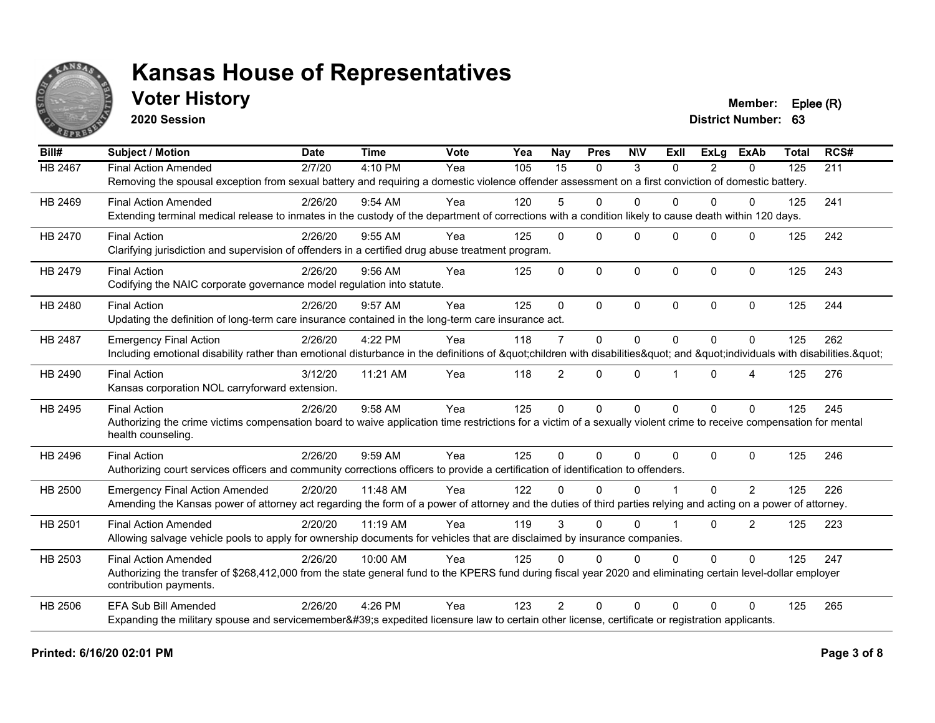

## **Voter History Member: Eplee (R)**

**2020 Session**

| Bill#          | <b>Subject / Motion</b>                                                                                                                                             | <b>Date</b> | <b>Time</b> | Vote | $\overline{Y}$ ea | Nay             | <b>Pres</b>  | <b>NIV</b>   | ExII         | ExLa           | <b>ExAb</b>    | <b>Total</b> | RCS# |
|----------------|---------------------------------------------------------------------------------------------------------------------------------------------------------------------|-------------|-------------|------|-------------------|-----------------|--------------|--------------|--------------|----------------|----------------|--------------|------|
| <b>HB 2467</b> | <b>Final Action Amended</b>                                                                                                                                         | 2/7/20      | 4:10 PM     | Yea  | 105               | $\overline{15}$ | $\mathbf{0}$ | 3            | $\Omega$     | $\overline{2}$ | $\mathbf{0}$   | 125          | 211  |
|                | Removing the spousal exception from sexual battery and requiring a domestic violence offender assessment on a first conviction of domestic battery.                 |             |             |      |                   |                 |              |              |              |                |                |              |      |
| HB 2469        | <b>Final Action Amended</b>                                                                                                                                         | 2/26/20     | $9:54$ AM   | Yea  | 120               | 5               | $\Omega$     | $\Omega$     | $\Omega$     | $\Omega$       | $\Omega$       | 125          | 241  |
|                | Extending terminal medical release to inmates in the custody of the department of corrections with a condition likely to cause death within 120 days.               |             |             |      |                   |                 |              |              |              |                |                |              |      |
| HB 2470        | <b>Final Action</b>                                                                                                                                                 | 2/26/20     | 9:55 AM     | Yea  | 125               | $\mathbf{0}$    | $\Omega$     | $\Omega$     | $\Omega$     | $\Omega$       | $\mathbf{0}$   | 125          | 242  |
|                | Clarifying jurisdiction and supervision of offenders in a certified drug abuse treatment program.                                                                   |             |             |      |                   |                 |              |              |              |                |                |              |      |
| HB 2479        | <b>Final Action</b>                                                                                                                                                 | 2/26/20     | 9:56 AM     | Yea  | 125               | $\Omega$        | $\mathbf 0$  | $\mathbf 0$  | $\mathbf{0}$ | $\mathbf 0$    | $\mathbf 0$    | 125          | 243  |
|                | Codifying the NAIC corporate governance model regulation into statute.                                                                                              |             |             |      |                   |                 |              |              |              |                |                |              |      |
| HB 2480        | <b>Final Action</b>                                                                                                                                                 | 2/26/20     | 9:57 AM     | Yea  | 125               | $\Omega$        | $\Omega$     | $\Omega$     | $\Omega$     | $\Omega$       | $\Omega$       | 125          | 244  |
|                | Updating the definition of long-term care insurance contained in the long-term care insurance act.                                                                  |             |             |      |                   |                 |              |              |              |                |                |              |      |
| <b>HB 2487</b> | <b>Emergency Final Action</b>                                                                                                                                       | 2/26/20     | 4:22 PM     | Yea  | 118               | $\overline{7}$  | $\mathbf{0}$ | $\Omega$     | $\Omega$     | $\Omega$       | $\mathbf{0}$   | 125          | 262  |
|                | Including emotional disability rather than emotional disturbance in the definitions of "children with disabilities" and "individuals with disabilities. "           |             |             |      |                   |                 |              |              |              |                |                |              |      |
| HB 2490        | <b>Final Action</b>                                                                                                                                                 | 3/12/20     | 11:21 AM    | Yea  | 118               | $\overline{2}$  | $\mathbf{0}$ | $\Omega$     |              | $\Omega$       | $\overline{4}$ | 125          | 276  |
|                | Kansas corporation NOL carryforward extension.                                                                                                                      |             |             |      |                   |                 |              |              |              |                |                |              |      |
| HB 2495        | <b>Final Action</b>                                                                                                                                                 | 2/26/20     | 9:58 AM     | Yea  | 125               | $\Omega$        | $\mathbf{0}$ | $\mathbf{0}$ | $\Omega$     | $\Omega$       | $\mathbf{0}$   | 125          | 245  |
|                | Authorizing the crime victims compensation board to waive application time restrictions for a victim of a sexually violent crime to receive compensation for mental |             |             |      |                   |                 |              |              |              |                |                |              |      |
|                | health counseling.                                                                                                                                                  |             |             |      |                   |                 |              |              |              |                |                |              |      |
| HB 2496        | <b>Final Action</b>                                                                                                                                                 | 2/26/20     | 9:59 AM     | Yea  | 125               | $\Omega$        | $\Omega$     | $\Omega$     | $\Omega$     | $\Omega$       | $\mathbf{0}$   | 125          | 246  |
|                | Authorizing court services officers and community corrections officers to provide a certification of identification to offenders.                                   |             |             |      |                   |                 |              |              |              |                |                |              |      |
| <b>HB 2500</b> | <b>Emergency Final Action Amended</b>                                                                                                                               | 2/20/20     | 11:48 AM    | Yea  | 122               | $\Omega$        | $\Omega$     | $\Omega$     |              | $\Omega$       | $\overline{2}$ | 125          | 226  |
|                | Amending the Kansas power of attorney act regarding the form of a power of attorney and the duties of third parties relying and acting on a power of attorney.      |             |             |      |                   |                 |              |              |              |                |                |              |      |
| <b>HB 2501</b> | <b>Final Action Amended</b>                                                                                                                                         | 2/20/20     | 11:19 AM    | Yea  | 119               | 3               | $\Omega$     | $\Omega$     |              | $\Omega$       | 2              | 125          | 223  |
|                | Allowing salvage vehicle pools to apply for ownership documents for vehicles that are disclaimed by insurance companies.                                            |             |             |      |                   |                 |              |              |              |                |                |              |      |
| HB 2503        | <b>Final Action Amended</b>                                                                                                                                         | 2/26/20     | 10:00 AM    | Yea  | 125               | $\Omega$        | $\Omega$     | $\Omega$     | $\Omega$     | $\Omega$       | $\mathbf{0}$   | 125          | 247  |
|                | Authorizing the transfer of \$268,412,000 from the state general fund to the KPERS fund during fiscal year 2020 and eliminating certain level-dollar employer       |             |             |      |                   |                 |              |              |              |                |                |              |      |
|                | contribution payments.                                                                                                                                              |             |             |      |                   |                 |              |              |              |                |                |              |      |
| HB 2506        | <b>EFA Sub Bill Amended</b>                                                                                                                                         | 2/26/20     | 4:26 PM     | Yea  | 123               | $\mathcal{P}$   | $\Omega$     | $\Omega$     | $\Omega$     | $\Omega$       | $\Omega$       | 125          | 265  |
|                | Expanding the military spouse and servicemember's expedited licensure law to certain other license, certificate or registration applicants.                         |             |             |      |                   |                 |              |              |              |                |                |              |      |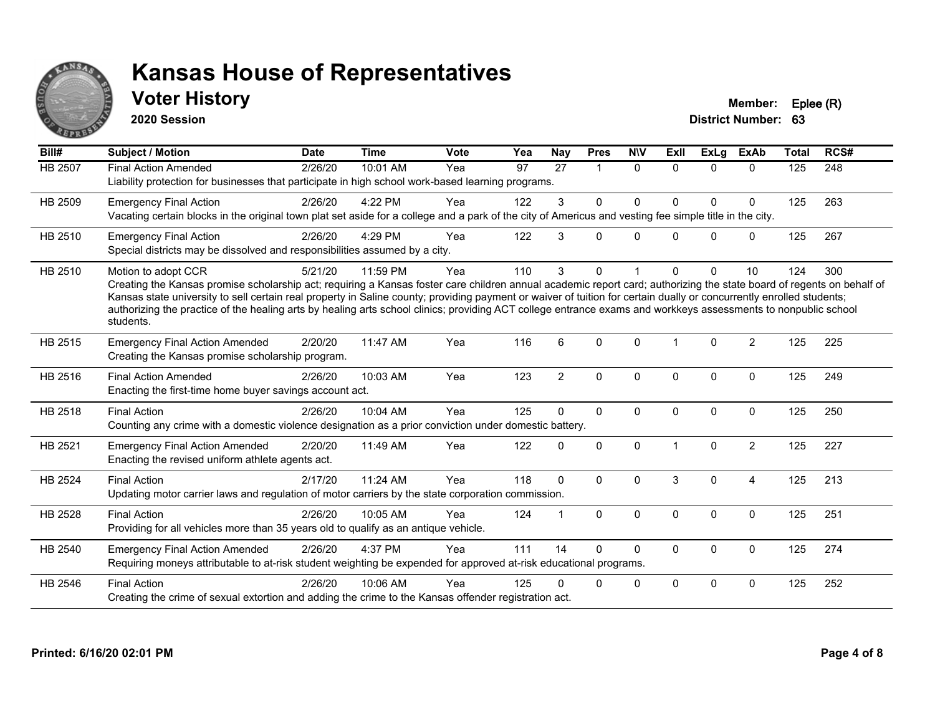

## **Voter History Member: Eplee (R)**

**2020 Session**

| Bill#          | Subject / Motion                                                                                                                                                                                                                                                                                                                                                                                                                                                                                                                                    | <b>Date</b> | <b>Time</b> | <b>Vote</b> | Yea             | <b>Nay</b>      | <b>Pres</b>          | <b>NIV</b>   | <b>Exll</b> | <b>ExLg</b>  | ExAb           | <b>Total</b> | RCS# |
|----------------|-----------------------------------------------------------------------------------------------------------------------------------------------------------------------------------------------------------------------------------------------------------------------------------------------------------------------------------------------------------------------------------------------------------------------------------------------------------------------------------------------------------------------------------------------------|-------------|-------------|-------------|-----------------|-----------------|----------------------|--------------|-------------|--------------|----------------|--------------|------|
| <b>HB 2507</b> | <b>Final Action Amended</b><br>Liability protection for businesses that participate in high school work-based learning programs.                                                                                                                                                                                                                                                                                                                                                                                                                    | 2/26/20     | 10:01 AM    | Yea         | $\overline{97}$ | $\overline{27}$ | $\blacktriangleleft$ | $\mathbf{0}$ | $\Omega$    | $\Omega$     | $\Omega$       | 125          | 248  |
| HB 2509        | <b>Emergency Final Action</b><br>Vacating certain blocks in the original town plat set aside for a college and a park of the city of Americus and vesting fee simple title in the city.                                                                                                                                                                                                                                                                                                                                                             | 2/26/20     | 4:22 PM     | Yea         | 122             | 3               | $\mathbf 0$          | 0            | 0           | $\Omega$     | $\mathbf 0$    | 125          | 263  |
| HB 2510        | <b>Emergency Final Action</b><br>Special districts may be dissolved and responsibilities assumed by a city.                                                                                                                                                                                                                                                                                                                                                                                                                                         | 2/26/20     | 4:29 PM     | Yea         | 122             | 3               | $\Omega$             | $\Omega$     | $\Omega$    | $\Omega$     | $\mathbf 0$    | 125          | 267  |
| HB 2510        | Motion to adopt CCR<br>Creating the Kansas promise scholarship act; requiring a Kansas foster care children annual academic report card; authorizing the state board of regents on behalf of<br>Kansas state university to sell certain real property in Saline county; providing payment or waiver of tuition for certain dually or concurrently enrolled students;<br>authorizing the practice of the healing arts by healing arts school clinics; providing ACT college entrance exams and workkeys assessments to nonpublic school<br>students. | 5/21/20     | 11:59 PM    | Yea         | 110             | 3               | $\mathbf{0}$         |              | 0           | 0            | 10             | 124          | 300  |
| HB 2515        | <b>Emergency Final Action Amended</b><br>Creating the Kansas promise scholarship program.                                                                                                                                                                                                                                                                                                                                                                                                                                                           | 2/20/20     | 11:47 AM    | Yea         | 116             | 6               | $\Omega$             | $\Omega$     |             | $\Omega$     | $\overline{2}$ | 125          | 225  |
| HB 2516        | <b>Final Action Amended</b><br>Enacting the first-time home buyer savings account act.                                                                                                                                                                                                                                                                                                                                                                                                                                                              | 2/26/20     | 10:03 AM    | Yea         | 123             | $\overline{2}$  | $\mathbf 0$          | $\mathbf 0$  | $\Omega$    | $\Omega$     | $\mathbf 0$    | 125          | 249  |
| HB 2518        | <b>Final Action</b><br>Counting any crime with a domestic violence designation as a prior conviction under domestic battery.                                                                                                                                                                                                                                                                                                                                                                                                                        | 2/26/20     | 10:04 AM    | Yea         | 125             | $\Omega$        | $\mathbf 0$          | $\mathbf 0$  | 0           | 0            | $\mathbf 0$    | 125          | 250  |
| HB 2521        | <b>Emergency Final Action Amended</b><br>Enacting the revised uniform athlete agents act.                                                                                                                                                                                                                                                                                                                                                                                                                                                           | 2/20/20     | 11:49 AM    | Yea         | 122             | $\Omega$        | $\mathbf 0$          | $\Omega$     |             | $\mathbf{0}$ | $\overline{2}$ | 125          | 227  |
| <b>HB 2524</b> | <b>Final Action</b><br>Updating motor carrier laws and regulation of motor carriers by the state corporation commission.                                                                                                                                                                                                                                                                                                                                                                                                                            | 2/17/20     | 11:24 AM    | Yea         | 118             | $\mathbf{0}$    | $\Omega$             | $\Omega$     | 3           | $\Omega$     | $\overline{4}$ | 125          | 213  |
| HB 2528        | <b>Final Action</b><br>Providing for all vehicles more than 35 years old to qualify as an antique vehicle.                                                                                                                                                                                                                                                                                                                                                                                                                                          | 2/26/20     | 10:05 AM    | Yea         | 124             |                 | $\mathbf{0}$         | $\Omega$     | $\Omega$    | $\Omega$     | $\Omega$       | 125          | 251  |
| HB 2540        | <b>Emergency Final Action Amended</b><br>Requiring moneys attributable to at-risk student weighting be expended for approved at-risk educational programs.                                                                                                                                                                                                                                                                                                                                                                                          | 2/26/20     | 4:37 PM     | Yea         | 111             | 14              | $\mathbf{0}$         | $\Omega$     | $\Omega$    | $\Omega$     | $\Omega$       | 125          | 274  |
| HB 2546        | <b>Final Action</b><br>Creating the crime of sexual extortion and adding the crime to the Kansas offender registration act.                                                                                                                                                                                                                                                                                                                                                                                                                         | 2/26/20     | 10:06 AM    | Yea         | 125             |                 | $\Omega$             | $\mathbf 0$  | $\Omega$    | $\Omega$     | 0              | 125          | 252  |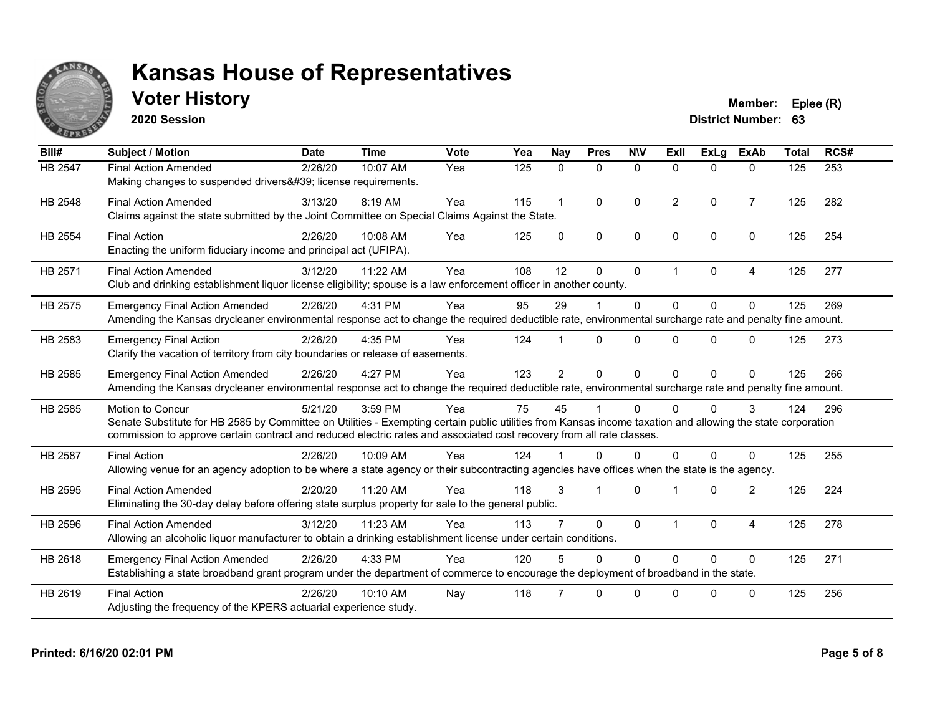

## **Voter History Member: Eplee (R)**

**2020 Session**

| Bill#   | <b>Subject / Motion</b>                                                                                                                                                                                                                                                                                  | <b>Date</b> | <b>Time</b> | Vote | Yea | Nay            | <b>Pres</b>  | <b>NIV</b>   | ExII           | ExLa        | <b>ExAb</b>    | <b>Total</b> | RCS# |
|---------|----------------------------------------------------------------------------------------------------------------------------------------------------------------------------------------------------------------------------------------------------------------------------------------------------------|-------------|-------------|------|-----|----------------|--------------|--------------|----------------|-------------|----------------|--------------|------|
| HB 2547 | <b>Final Action Amended</b><br>Making changes to suspended drivers' license requirements.                                                                                                                                                                                                                | 2/26/20     | 10:07 AM    | Yea  | 125 | $\mathbf{0}$   | $\mathbf{0}$ | $\mathbf{0}$ | $\Omega$       | $\Omega$    | $\mathbf{0}$   | 125          | 253  |
| HB 2548 | <b>Final Action Amended</b><br>Claims against the state submitted by the Joint Committee on Special Claims Against the State.                                                                                                                                                                            | 3/13/20     | 8:19 AM     | Yea  | 115 | $\mathbf 1$    | $\Omega$     | $\Omega$     | $\overline{2}$ | $\Omega$    | $\overline{7}$ | 125          | 282  |
| HB 2554 | <b>Final Action</b><br>Enacting the uniform fiduciary income and principal act (UFIPA).                                                                                                                                                                                                                  | 2/26/20     | 10:08 AM    | Yea  | 125 | $\Omega$       | $\Omega$     | $\Omega$     | $\Omega$       | $\Omega$    | $\Omega$       | 125          | 254  |
| HB 2571 | <b>Final Action Amended</b><br>Club and drinking establishment liquor license eligibility; spouse is a law enforcement officer in another county.                                                                                                                                                        | 3/12/20     | 11:22 AM    | Yea  | 108 | 12             | $\Omega$     | $\mathbf 0$  |                | $\mathbf 0$ | $\overline{4}$ | 125          | 277  |
| HB 2575 | <b>Emergency Final Action Amended</b><br>Amending the Kansas drycleaner environmental response act to change the required deductible rate, environmental surcharge rate and penalty fine amount.                                                                                                         | 2/26/20     | 4:31 PM     | Yea  | 95  | 29             |              | $\mathbf 0$  | $\Omega$       | $\Omega$    | $\Omega$       | 125          | 269  |
| HB 2583 | <b>Emergency Final Action</b><br>Clarify the vacation of territory from city boundaries or release of easements.                                                                                                                                                                                         | 2/26/20     | 4:35 PM     | Yea  | 124 |                | $\Omega$     | $\Omega$     | $\Omega$       | $\Omega$    | $\Omega$       | 125          | 273  |
| HB 2585 | <b>Emergency Final Action Amended</b><br>Amending the Kansas drycleaner environmental response act to change the required deductible rate, environmental surcharge rate and penalty fine amount.                                                                                                         | 2/26/20     | 4:27 PM     | Yea  | 123 | $\overline{2}$ | $\Omega$     | $\mathbf 0$  | $\Omega$       | $\Omega$    | $\Omega$       | 125          | 266  |
| HB 2585 | Motion to Concur<br>Senate Substitute for HB 2585 by Committee on Utilities - Exempting certain public utilities from Kansas income taxation and allowing the state corporation<br>commission to approve certain contract and reduced electric rates and associated cost recovery from all rate classes. | 5/21/20     | 3:59 PM     | Yea  | 75  | 45             |              | $\Omega$     |                | $\Omega$    | 3              | 124          | 296  |
| HB 2587 | <b>Final Action</b><br>Allowing venue for an agency adoption to be where a state agency or their subcontracting agencies have offices when the state is the agency.                                                                                                                                      | 2/26/20     | 10:09 AM    | Yea  | 124 |                | $\Omega$     | $\Omega$     | $\Omega$       | $\Omega$    | $\Omega$       | 125          | 255  |
| HB 2595 | <b>Final Action Amended</b><br>Eliminating the 30-day delay before offering state surplus property for sale to the general public.                                                                                                                                                                       | 2/20/20     | 11:20 AM    | Yea  | 118 | 3              | 1            | $\Omega$     |                | $\Omega$    | $\overline{2}$ | 125          | 224  |
| HB 2596 | <b>Final Action Amended</b><br>Allowing an alcoholic liquor manufacturer to obtain a drinking establishment license under certain conditions.                                                                                                                                                            | 3/12/20     | 11:23 AM    | Yea  | 113 |                | $\Omega$     | $\Omega$     |                | $\Omega$    | $\overline{4}$ | 125          | 278  |
| HB 2618 | <b>Emergency Final Action Amended</b><br>Establishing a state broadband grant program under the department of commerce to encourage the deployment of broadband in the state.                                                                                                                            | 2/26/20     | 4:33 PM     | Yea  | 120 | 5              | $\Omega$     | $\Omega$     | $\Omega$       | $\Omega$    | $\Omega$       | 125          | 271  |
| HB 2619 | <b>Final Action</b><br>Adjusting the frequency of the KPERS actuarial experience study.                                                                                                                                                                                                                  | 2/26/20     | 10:10 AM    | Nay  | 118 |                | $\Omega$     | $\Omega$     | ∩              | $\Omega$    | $\mathbf{0}$   | 125          | 256  |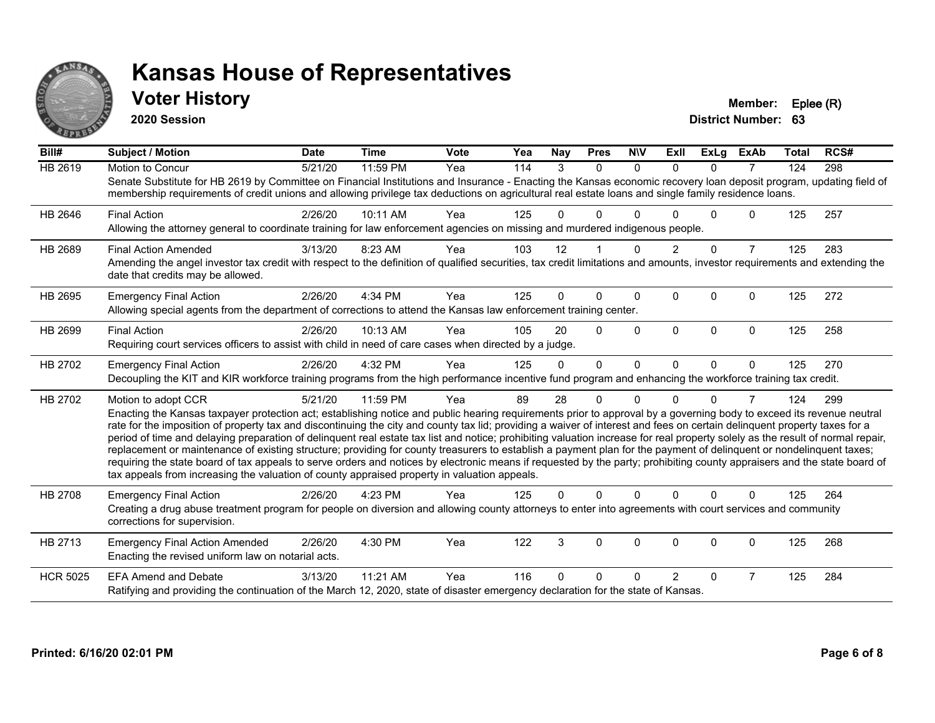

## **Voter History Member: Eplee (R)**

**2020 Session**

| Bill#           | <b>Subject / Motion</b>                                                                                                                                                                                                                                                                                                                                                                                                                                                                                                                                                                                                                                                                                                                                                                                                                                                                                                                                                                                       | <b>Date</b> | <b>Time</b> | <b>Vote</b> | Yea | <b>Nay</b> | <b>Pres</b> | <b>NIV</b>   | <b>ExII</b>    | <b>ExLg</b> | <b>ExAb</b>    | <b>Total</b> | RCS# |
|-----------------|---------------------------------------------------------------------------------------------------------------------------------------------------------------------------------------------------------------------------------------------------------------------------------------------------------------------------------------------------------------------------------------------------------------------------------------------------------------------------------------------------------------------------------------------------------------------------------------------------------------------------------------------------------------------------------------------------------------------------------------------------------------------------------------------------------------------------------------------------------------------------------------------------------------------------------------------------------------------------------------------------------------|-------------|-------------|-------------|-----|------------|-------------|--------------|----------------|-------------|----------------|--------------|------|
| <b>HB 2619</b>  | Motion to Concur<br>Senate Substitute for HB 2619 by Committee on Financial Institutions and Insurance - Enacting the Kansas economic recovery loan deposit program, updating field of<br>membership requirements of credit unions and allowing privilege tax deductions on agricultural real estate loans and single family residence loans.                                                                                                                                                                                                                                                                                                                                                                                                                                                                                                                                                                                                                                                                 | 5/21/20     | 11:59 PM    | Yea         | 114 | 3          | $\Omega$    | $\Omega$     | $\Omega$       | $\Omega$    | $\overline{7}$ | 124          | 298  |
| HB 2646         | <b>Final Action</b><br>Allowing the attorney general to coordinate training for law enforcement agencies on missing and murdered indigenous people.                                                                                                                                                                                                                                                                                                                                                                                                                                                                                                                                                                                                                                                                                                                                                                                                                                                           | 2/26/20     | 10:11 AM    | Yea         | 125 | 0          | 0           | ∩            |                | U           | 0              | 125          | 257  |
| HB 2689         | <b>Final Action Amended</b><br>Amending the angel investor tax credit with respect to the definition of qualified securities, tax credit limitations and amounts, investor requirements and extending the<br>date that credits may be allowed.                                                                                                                                                                                                                                                                                                                                                                                                                                                                                                                                                                                                                                                                                                                                                                | 3/13/20     | 8:23 AM     | Yea         | 103 | 12         |             | <sup>0</sup> | 2              | $\Omega$    | $\overline{7}$ | 125          | 283  |
| HB 2695         | <b>Emergency Final Action</b><br>Allowing special agents from the department of corrections to attend the Kansas law enforcement training center.                                                                                                                                                                                                                                                                                                                                                                                                                                                                                                                                                                                                                                                                                                                                                                                                                                                             | 2/26/20     | 4:34 PM     | Yea         | 125 | 0          | $\Omega$    | $\Omega$     | $\Omega$       | $\Omega$    | 0              | 125          | 272  |
| HB 2699         | <b>Final Action</b><br>Requiring court services officers to assist with child in need of care cases when directed by a judge.                                                                                                                                                                                                                                                                                                                                                                                                                                                                                                                                                                                                                                                                                                                                                                                                                                                                                 | 2/26/20     | 10:13 AM    | Yea         | 105 | 20         | $\Omega$    | $\Omega$     | $\Omega$       | $\Omega$    | $\Omega$       | 125          | 258  |
| HB 2702         | <b>Emergency Final Action</b><br>Decoupling the KIT and KIR workforce training programs from the high performance incentive fund program and enhancing the workforce training tax credit.                                                                                                                                                                                                                                                                                                                                                                                                                                                                                                                                                                                                                                                                                                                                                                                                                     | 2/26/20     | 4:32 PM     | Yea         | 125 | $\Omega$   | $\Omega$    | $\Omega$     | $\Omega$       | $\Omega$    | $\mathbf{0}$   | 125          | 270  |
| HB 2702         | Motion to adopt CCR<br>Enacting the Kansas taxpayer protection act; establishing notice and public hearing requirements prior to approval by a governing body to exceed its revenue neutral<br>rate for the imposition of property tax and discontinuing the city and county tax lid; providing a waiver of interest and fees on certain delinquent property taxes for a<br>period of time and delaying preparation of delinquent real estate tax list and notice; prohibiting valuation increase for real property solely as the result of normal repair,<br>replacement or maintenance of existing structure; providing for county treasurers to establish a payment plan for the payment of delinquent or nondelinquent taxes;<br>requiring the state board of tax appeals to serve orders and notices by electronic means if requested by the party; prohibiting county appraisers and the state board of<br>tax appeals from increasing the valuation of county appraised property in valuation appeals. | 5/21/20     | 11:59 PM    | Yea         | 89  | 28         | 0           | $\Omega$     | U              | 0           | 7              | 124          | 299  |
| <b>HB 2708</b>  | <b>Emergency Final Action</b><br>Creating a drug abuse treatment program for people on diversion and allowing county attorneys to enter into agreements with court services and community<br>corrections for supervision.                                                                                                                                                                                                                                                                                                                                                                                                                                                                                                                                                                                                                                                                                                                                                                                     | 2/26/20     | 4:23 PM     | Yea         | 125 | 0          | $\Omega$    | $\Omega$     | $\Omega$       | $\Omega$    | $\Omega$       | 125          | 264  |
| HB 2713         | <b>Emergency Final Action Amended</b><br>Enacting the revised uniform law on notarial acts.                                                                                                                                                                                                                                                                                                                                                                                                                                                                                                                                                                                                                                                                                                                                                                                                                                                                                                                   | 2/26/20     | 4:30 PM     | Yea         | 122 | 3          | 0           | 0            | 0              | 0           | 0              | 125          | 268  |
| <b>HCR 5025</b> | <b>EFA Amend and Debate</b><br>Ratifying and providing the continuation of the March 12, 2020, state of disaster emergency declaration for the state of Kansas.                                                                                                                                                                                                                                                                                                                                                                                                                                                                                                                                                                                                                                                                                                                                                                                                                                               | 3/13/20     | 11:21 AM    | Yea         | 116 | 0          | 0           | ∩            | $\overline{2}$ | 0           | $\overline{7}$ | 125          | 284  |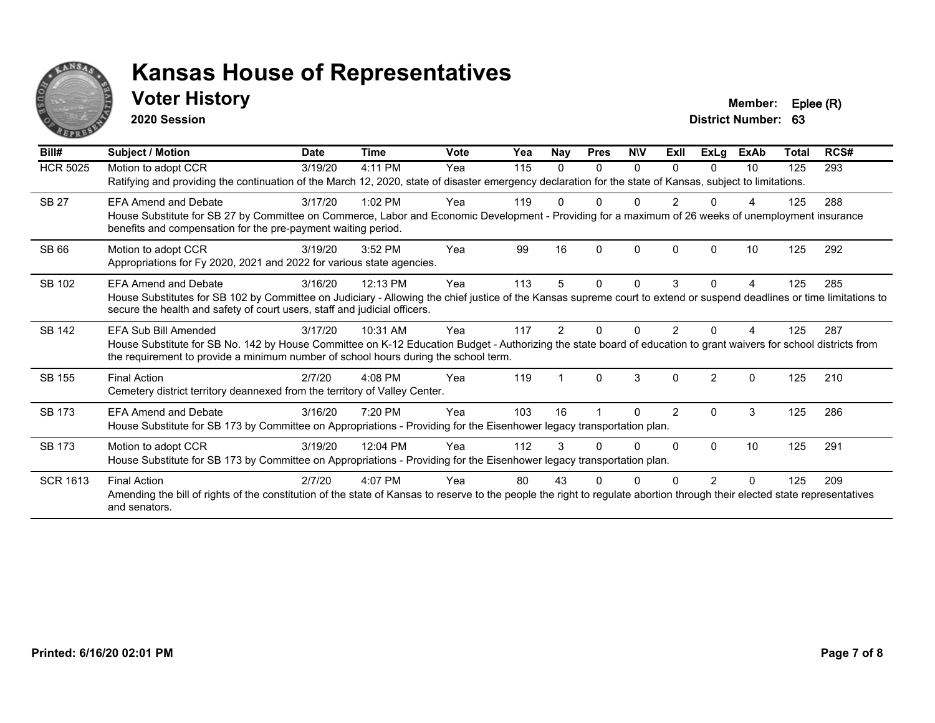

## **Voter History Member: Eplee (R)**

**2020 Session**

| Bill#           | Subject / Motion                                                                                                                                                                                                                                         | <b>Date</b> | <b>Time</b> | <b>Vote</b> | Yea | Nay | <b>Pres</b> | <b>NIV</b> | ExII           | <b>ExLg</b>    | <b>ExAb</b>  | <b>Total</b> | RCS# |
|-----------------|----------------------------------------------------------------------------------------------------------------------------------------------------------------------------------------------------------------------------------------------------------|-------------|-------------|-------------|-----|-----|-------------|------------|----------------|----------------|--------------|--------------|------|
| <b>HCR 5025</b> | Motion to adopt CCR                                                                                                                                                                                                                                      | 3/19/20     | 4:11 PM     | Yea         | 115 | 0   | 0           | 0          | 0              | 0              | 10           | 125          | 293  |
|                 | Ratifying and providing the continuation of the March 12, 2020, state of disaster emergency declaration for the state of Kansas, subject to limitations.                                                                                                 |             |             |             |     |     |             |            |                |                |              |              |      |
| <b>SB 27</b>    | <b>EFA Amend and Debate</b>                                                                                                                                                                                                                              | 3/17/20     | $1:02$ PM   | Yea         | 119 | U   | 0           | n          |                | U              |              | 125          | 288  |
|                 | House Substitute for SB 27 by Committee on Commerce, Labor and Economic Development - Providing for a maximum of 26 weeks of unemployment insurance<br>benefits and compensation for the pre-payment waiting period.                                     |             |             |             |     |     |             |            |                |                |              |              |      |
| <b>SB66</b>     | Motion to adopt CCR                                                                                                                                                                                                                                      | 3/19/20     | $3:52$ PM   | Yea         | 99  | 16  | 0           | $\Omega$   | O              | <sup>0</sup>   | 10           | 125          | 292  |
|                 | Appropriations for Fy 2020, 2021 and 2022 for various state agencies.                                                                                                                                                                                    |             |             |             |     |     |             |            |                |                |              |              |      |
| SB 102          | <b>EFA Amend and Debate</b>                                                                                                                                                                                                                              | 3/16/20     | 12:13 PM    | Yea         | 113 | 5   | 0           | $\Omega$   | 3              | $\Omega$       | 4            | 125          | 285  |
|                 | House Substitutes for SB 102 by Committee on Judiciary - Allowing the chief justice of the Kansas supreme court to extend or suspend deadlines or time limitations to<br>secure the health and safety of court users, staff and judicial officers.       |             |             |             |     |     |             |            |                |                |              |              |      |
| <b>SB 142</b>   | <b>EFA Sub Bill Amended</b>                                                                                                                                                                                                                              | 3/17/20     | 10:31 AM    | Yea         | 117 | 2   | N           | n          | 2              |                |              | 125          | 287  |
|                 | House Substitute for SB No. 142 by House Committee on K-12 Education Budget - Authorizing the state board of education to grant waivers for school districts from<br>the requirement to provide a minimum number of school hours during the school term. |             |             |             |     |     |             |            |                |                |              |              |      |
| <b>SB 155</b>   | <b>Final Action</b>                                                                                                                                                                                                                                      | 2/7/20      | 4:08 PM     | Yea         | 119 |     | $\Omega$    | 3          | 0              | $\overline{2}$ | $\mathbf{0}$ | 125          | 210  |
|                 | Cemetery district territory deannexed from the territory of Valley Center.                                                                                                                                                                               |             |             |             |     |     |             |            |                |                |              |              |      |
| SB 173          | <b>EFA Amend and Debate</b>                                                                                                                                                                                                                              | 3/16/20     | 7:20 PM     | Yea         | 103 | 16  |             | ∩          | $\overline{2}$ | $\Omega$       | 3            | 125          | 286  |
|                 | House Substitute for SB 173 by Committee on Appropriations - Providing for the Eisenhower legacy transportation plan.                                                                                                                                    |             |             |             |     |     |             |            |                |                |              |              |      |
| <b>SB 173</b>   | Motion to adopt CCR                                                                                                                                                                                                                                      | 3/19/20     | 12:04 PM    | Yea         | 112 | 3   |             | O          | O              | 0              | 10           | 125          | 291  |
|                 | House Substitute for SB 173 by Committee on Appropriations - Providing for the Eisenhower legacy transportation plan.                                                                                                                                    |             |             |             |     |     |             |            |                |                |              |              |      |
| <b>SCR 1613</b> | <b>Final Action</b>                                                                                                                                                                                                                                      | 2/7/20      | 4:07 PM     | Yea         | 80  | 43  |             |            |                |                | ŋ            | 125          | 209  |
|                 | Amending the bill of rights of the constitution of the state of Kansas to reserve to the people the right to regulate abortion through their elected state representatives<br>and senators.                                                              |             |             |             |     |     |             |            |                |                |              |              |      |